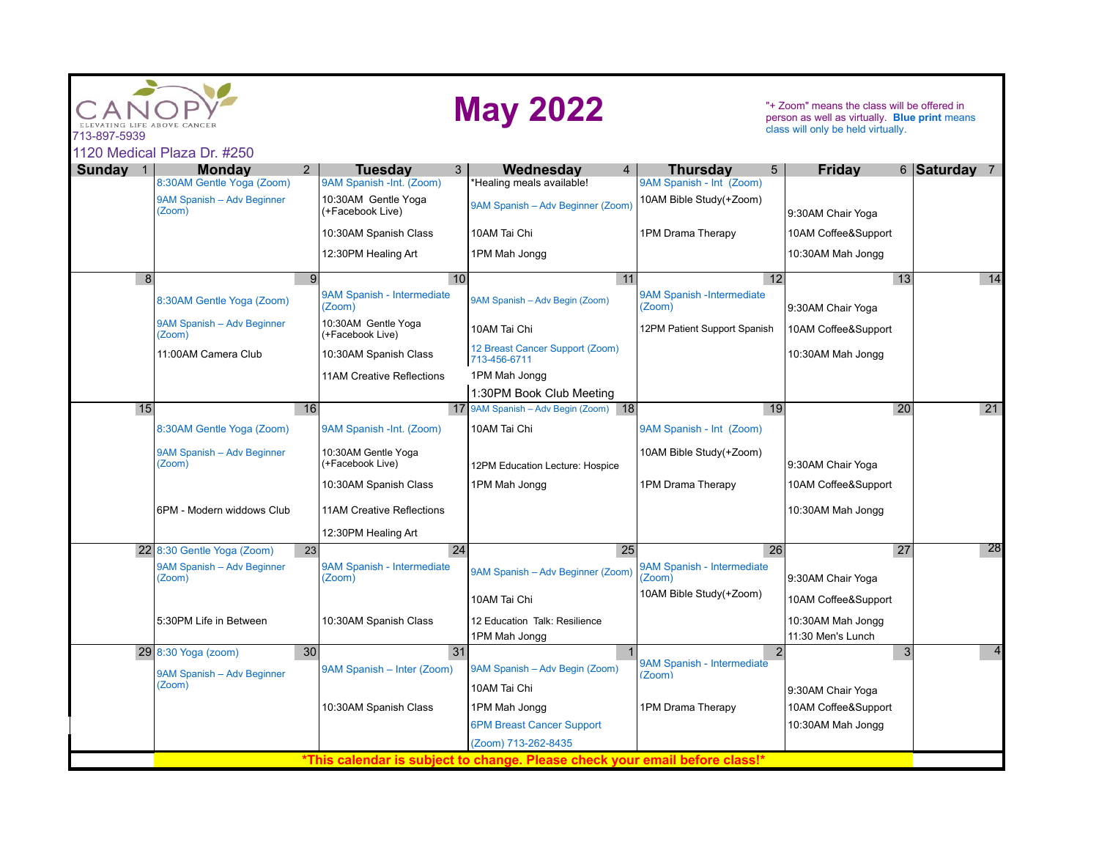| 713-897-5939    | LIFE ABOVE CANCER<br>1120 Medical Plaza Dr. #250 |             |                                                 | <b>May 2022</b>                                                             |                                                                | "+ Zoom" means the class will be offered in<br>person as well as virtually. Blue print means<br>class will only be held virtually. |                 |
|-----------------|--------------------------------------------------|-------------|-------------------------------------------------|-----------------------------------------------------------------------------|----------------------------------------------------------------|------------------------------------------------------------------------------------------------------------------------------------|-----------------|
|                 |                                                  |             |                                                 |                                                                             |                                                                |                                                                                                                                    |                 |
| <b>Sunday</b> 1 | <b>Monday</b><br>8:30AM Gentle Yoga (Zoom)       | $2^{\circ}$ | <b>Tuesdav</b><br>3<br>9AM Spanish -Int. (Zoom) | Wednesdav<br>$\overline{4}$<br>*Healing meals available!                    | <b>Thursdav</b><br>$5\overline{)}$<br>9AM Spanish - Int (Zoom) | Fridav                                                                                                                             | 6 Saturday 7    |
|                 | 9AM Spanish - Adv Beginner<br>(Zoom)             |             | 10:30AM Gentle Yoga<br>(+Facebook Live)         | 9AM Spanish - Adv Beginner (Zoom)                                           | 10AM Bible Study(+Zoom)                                        | 9:30AM Chair Yoga                                                                                                                  |                 |
|                 |                                                  |             |                                                 |                                                                             |                                                                |                                                                                                                                    |                 |
|                 |                                                  |             | 10:30AM Spanish Class                           | 10AM Tai Chi                                                                | 1PM Drama Therapy                                              | 10AM Coffee&Support                                                                                                                |                 |
|                 |                                                  |             | 12:30PM Healing Art                             | 1PM Mah Jongg                                                               |                                                                | 10:30AM Mah Jongg                                                                                                                  |                 |
| $\overline{8}$  |                                                  | 9           | 10                                              | 11                                                                          | $\overline{12}$                                                | 13                                                                                                                                 | $\overline{14}$ |
|                 | 8:30AM Gentle Yoga (Zoom)                        |             | 9AM Spanish - Intermediate<br>(Zoom)            | 9AM Spanish - Adv Begin (Zoom)                                              | 9AM Spanish - Intermediate<br>(Zoom)                           | 9:30AM Chair Yoga                                                                                                                  |                 |
|                 | 9AM Spanish - Adv Beginner<br>(Zoom)             |             | 10:30AM Gentle Yoga<br>(+Facebook Live)         | 10AM Tai Chi                                                                | 12PM Patient Support Spanish                                   | 10AM Coffee&Support                                                                                                                |                 |
|                 | 11:00AM Camera Club                              |             | 10:30AM Spanish Class                           | 12 Breast Cancer Support (Zoom)<br>713-456-6711                             |                                                                | 10:30AM Mah Jongg                                                                                                                  |                 |
|                 |                                                  |             | <b>11AM Creative Reflections</b>                | 1PM Mah Jongq                                                               |                                                                |                                                                                                                                    |                 |
|                 |                                                  |             |                                                 | 1:30PM Book Club Meeting                                                    |                                                                |                                                                                                                                    |                 |
| 15              |                                                  | 16          | 17 <sup>1</sup>                                 | 9AM Spanish - Adv Begin (Zoom) 18                                           | 19                                                             | 20                                                                                                                                 | $\overline{21}$ |
|                 | 8:30AM Gentle Yoga (Zoom)                        |             | 9AM Spanish -Int. (Zoom)                        | 10AM Tai Chi                                                                | 9AM Spanish - Int (Zoom)                                       |                                                                                                                                    |                 |
|                 | 9AM Spanish - Adv Beginner<br>(Zoom)             |             | 10:30AM Gentle Yoga<br>(+Facebook Live)         | 12PM Education Lecture: Hospice                                             | 10AM Bible Study(+Zoom)                                        | 9:30AM Chair Yoga                                                                                                                  |                 |
|                 |                                                  |             | 10:30AM Spanish Class                           | 1PM Mah Jongg                                                               | 1PM Drama Therapy                                              | 10AM Coffee&Support                                                                                                                |                 |
|                 | 6PM - Modern widdows Club                        |             | 11AM Creative Reflections                       |                                                                             |                                                                | 10:30AM Mah Jongg                                                                                                                  |                 |
|                 |                                                  |             | 12:30PM Healing Art                             |                                                                             |                                                                |                                                                                                                                    |                 |
|                 | 22 8:30 Gentle Yoga (Zoom)                       | 23          | 24                                              | 25                                                                          | 26                                                             | 27                                                                                                                                 | 28              |
|                 | 9AM Spanish - Adv Beginner<br>(Zoom)             |             | 9AM Spanish - Intermediate<br>(Zoom)            | 9AM Spanish - Adv Beginner (Zoom)                                           | 9AM Spanish - Intermediate<br>(Zoom)                           | 9:30AM Chair Yoga                                                                                                                  |                 |
|                 |                                                  |             |                                                 | 10AM Tai Chi                                                                | 10AM Bible Study(+Zoom)                                        | 10AM Coffee&Support                                                                                                                |                 |
|                 | 5:30PM Life in Between                           |             | 10:30AM Spanish Class                           | 12 Education Talk: Resilience<br>1PM Mah Jongg                              |                                                                | 10:30AM Mah Jongg<br>11:30 Men's Lunch                                                                                             |                 |
|                 | $29 8:30$ Yoga (zoom)                            | 30          | 31                                              |                                                                             | $\overline{2}$                                                 | 3                                                                                                                                  | 4               |
|                 | 9AM Spanish - Adv Beginner                       |             | 9AM Spanish - Inter (Zoom)                      | 9AM Spanish - Adv Begin (Zoom)                                              | 9AM Spanish - Intermediate<br>(Zoom)                           |                                                                                                                                    |                 |
|                 | (Zoom)                                           |             |                                                 | 10AM Tai Chi                                                                |                                                                | 9:30AM Chair Yoga                                                                                                                  |                 |
|                 |                                                  |             | 10:30AM Spanish Class                           | 1PM Mah Jongg                                                               | 1PM Drama Therapy                                              | 10AM Coffee&Support                                                                                                                |                 |
|                 |                                                  |             |                                                 | <b>6PM Breast Cancer Support</b>                                            |                                                                | 10:30AM Mah Jongg                                                                                                                  |                 |
|                 |                                                  |             |                                                 | (Zoom) 713-262-8435                                                         |                                                                |                                                                                                                                    |                 |
|                 |                                                  |             |                                                 | *This calendar is subject to change. Please check your email before class!* |                                                                |                                                                                                                                    |                 |